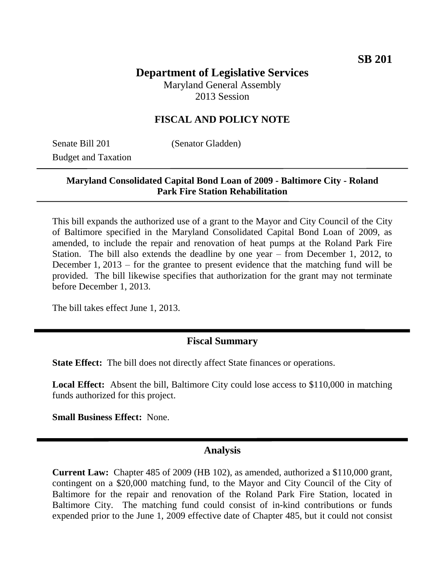# **Department of Legislative Services**

Maryland General Assembly 2013 Session

### **FISCAL AND POLICY NOTE**

Senate Bill 201 (Senator Gladden) Budget and Taxation

#### **Maryland Consolidated Capital Bond Loan of 2009 - Baltimore City - Roland Park Fire Station Rehabilitation**

This bill expands the authorized use of a grant to the Mayor and City Council of the City of Baltimore specified in the Maryland Consolidated Capital Bond Loan of 2009, as amended, to include the repair and renovation of heat pumps at the Roland Park Fire Station. The bill also extends the deadline by one year – from December 1, 2012, to December 1, 2013 – for the grantee to present evidence that the matching fund will be provided. The bill likewise specifies that authorization for the grant may not terminate before December 1, 2013.

The bill takes effect June 1, 2013.

#### **Fiscal Summary**

**State Effect:** The bill does not directly affect State finances or operations.

**Local Effect:** Absent the bill, Baltimore City could lose access to \$110,000 in matching funds authorized for this project.

**Small Business Effect:** None.

#### **Analysis**

**Current Law:** Chapter 485 of 2009 (HB 102), as amended, authorized a \$110,000 grant, contingent on a \$20,000 matching fund, to the Mayor and City Council of the City of Baltimore for the repair and renovation of the Roland Park Fire Station, located in Baltimore City. The matching fund could consist of in-kind contributions or funds expended prior to the June 1, 2009 effective date of Chapter 485, but it could not consist